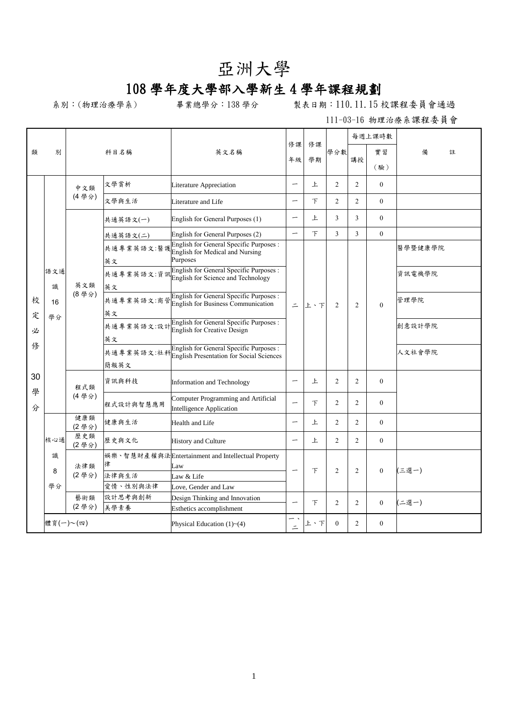## 亞洲大學

## 108 學年度大學部入學新生 4 學年課程規劃

系別:(物理治療學系) 畢業總學分:138 學分 製表日期:110.11.15 校課程委員會通過

111-03-16 物理治療系課程委員會

| 類       |              |              | 科目名稱                   | 英文名稱                                                                                                                 | 修課                       | 修課  | 學分數            |                | 每週上課時數       |         |   |
|---------|--------------|--------------|------------------------|----------------------------------------------------------------------------------------------------------------------|--------------------------|-----|----------------|----------------|--------------|---------|---|
|         | 別            |              |                        |                                                                                                                      |                          |     |                | 講授             | 實習           | 備       | 註 |
|         |              |              |                        |                                                                                                                      | 年級                       | 學期  |                |                | (驗)          |         |   |
|         |              |              |                        |                                                                                                                      |                          |     |                |                |              |         |   |
|         |              | 中文類<br>(4學分) | 文學賞析                   | Literature Appreciation                                                                                              | -                        | 上   | $\overline{2}$ | $\overline{c}$ | $\Omega$     |         |   |
|         |              |              | 文學與生活                  | Literature and Life                                                                                                  | -                        | 下   | $\overline{2}$ | $\overline{2}$ | $\mathbf{0}$ |         |   |
|         |              |              | 共通英語文(一)               | English for General Purposes (1)                                                                                     | $\overline{\phantom{m}}$ | 上   | 3              | 3              | $\theta$     |         |   |
|         |              |              | 共通英語文(二)               | English for General Purposes (2)                                                                                     | -                        | 下   | 3              | 3              | $\mathbf{0}$ |         |   |
|         |              |              | 英文                     | <b>English for General Specific Purposes:</b><br>共通專業英語文:醫護 <mark>Eliguan for Nedical and Nursing</mark><br>Purposes |                          |     |                |                |              | 醫學暨健康學院 |   |
|         | 語文通<br>識     | 英文類          | 共通專業英語文:資訊<br>英文       | English for General Specific Purposes :<br>English for Science and Technology                                        |                          | 上、下 | $\overline{c}$ | $\overline{2}$ |              | 資訊電機學院  |   |
| 校<br>定  | 16<br>學分     | (8學分)        | 共通專業英語文:商管<br>英文       | English for General Specific Purposes :<br>English for Business Communication                                        | $\equiv$                 |     |                |                | $\theta$     | 管理學院    |   |
| 必       |              |              | 共通專業英語文:設計<br>英文       | English for General Specific Purposes :<br><b>English for Creative Design</b>                                        |                          |     |                |                |              | 創意設計學院  |   |
| 俢       |              |              | 共通專業英語文:社科<br>簡報英文     | English for General Specific Purposes :<br>English Presentation for Social Sciences                                  |                          |     |                |                |              | 人文社會學院  |   |
| 30<br>學 |              | 程式類          | 資訊與科技                  | Information and Technology                                                                                           | $\overline{\phantom{m}}$ | 上   | $\overline{2}$ | $\overline{2}$ | $\mathbf{0}$ |         |   |
| 分       |              | (4學分)        | 程式設計與智慧應用              | Computer Programming and Artificial<br><b>Intelligence Application</b>                                               | $\overline{\phantom{0}}$ | 下   | $\overline{2}$ | $\overline{2}$ | $\theta$     |         |   |
|         |              | 健康類<br>(2學分) | 健康與生活                  | Health and Life                                                                                                      | —                        | 上   | $\overline{c}$ | $\overline{2}$ | $\theta$     |         |   |
|         | 核心通          | 歷史類<br>(2學分) | 歷史與文化                  | <b>History and Culture</b>                                                                                           | $\overline{\phantom{0}}$ | 上   | $\overline{2}$ | $\overline{c}$ | $\mathbf{0}$ |         |   |
|         | 識<br>8<br>學分 | 法律類<br>(2學分) | 律<br>法律與生活<br>愛情、性別與法律 | 娱樂、智慧財產權與法Entertainment and Intellectual Property<br>Law<br>Law & Life<br>Love, Gender and Law                       | $\overline{\phantom{0}}$ | 下   | $\overline{2}$ | $\overline{2}$ | $\mathbf{0}$ | 三選一)    |   |
|         |              | 藝術類<br>(2學分) | 設計思考與創新<br>美學素養        | Design Thinking and Innovation<br>Esthetics accomplishment                                                           |                          | 下   | $\overline{2}$ | $\overline{2}$ | $\mathbf{0}$ | 二選一)    |   |
|         | 體育(一)~(四)    |              |                        | Physical Education $(1)$ ~ $(4)$                                                                                     | — .<br>$\equiv$          | 上、下 | $\theta$       | $\overline{c}$ | $\theta$     |         |   |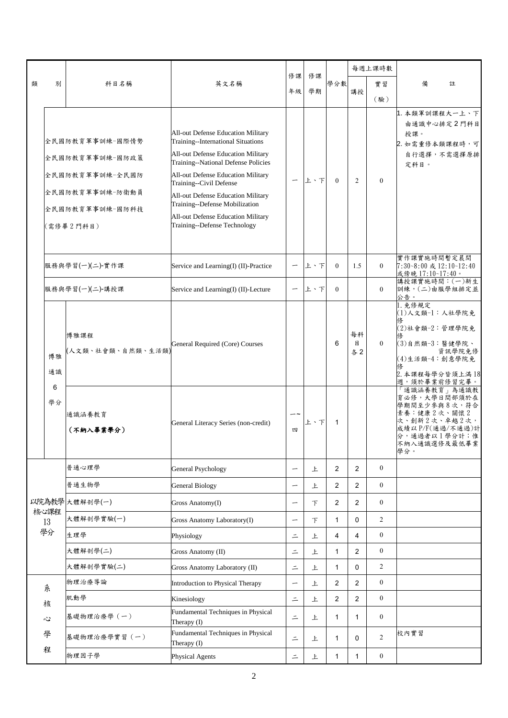|   | 別                                                                                                        | 科目名稱                      | 英文名稱                                                                                                                                                                                                                                                                                                                                                                 |                          | 修課<br>學期 | 學分數            |                | 每週上課時數           |                                                                                                                                       |
|---|----------------------------------------------------------------------------------------------------------|---------------------------|----------------------------------------------------------------------------------------------------------------------------------------------------------------------------------------------------------------------------------------------------------------------------------------------------------------------------------------------------------------------|--------------------------|----------|----------------|----------------|------------------|---------------------------------------------------------------------------------------------------------------------------------------|
| 類 |                                                                                                          |                           |                                                                                                                                                                                                                                                                                                                                                                      | 修課                       |          |                |                | 實習               | 備<br>註                                                                                                                                |
|   |                                                                                                          |                           |                                                                                                                                                                                                                                                                                                                                                                      | 年級                       |          |                | 講授             | (驗)              |                                                                                                                                       |
|   | 全民國防教育軍事訓練-國際情勢<br>全民國防教育軍事訓練-國防政策<br>全民國防教育軍事訓練-全民國防<br>全民國防教育軍事訓練-防衛動員<br>全民國防教育軍事訓練-國防科技<br>(需修畢2門科目) |                           | All-out Defense Education Military<br>Training--International Situations<br>All-out Defense Education Military<br>Training--National Defense Policies<br>All-out Defense Education Military<br>Training--Civil Defense<br>All-out Defense Education Military<br>Training--Defense Mobilization<br>All-out Defense Education Military<br>Training--Defense Technology |                          | 上、下      | $\theta$       | $\overline{2}$ | $\mathbf{0}$     | 1. 本類軍訓課程大一上、下<br>由通識中心排定2門科目<br>授課。<br>2. 如需重修本類課程時,可<br>自行選擇,不需選擇原排<br>定科目。                                                         |
|   |                                                                                                          | 服務與學習(一)(二)-實作課           | Service and Learning(I) (II)-Practice                                                                                                                                                                                                                                                                                                                                |                          | 上、下      | $\overline{0}$ | 1.5            | $\theta$         | 實作課實施時間暫定晨間<br>7:30~8:00 或 12:10~12:40<br>或傍晚 17:10~17:40。                                                                            |
|   |                                                                                                          | 服務與學習(一)(二)-講授課           | Service and Learning(I) (II)-Lecture                                                                                                                                                                                                                                                                                                                                 | $\overline{\phantom{m}}$ | 上、下      | $\theta$       |                | $\mathbf{0}$     | 講授課實施時間: (一)新生<br>訓練,(二)由服學組排定並<br>公告。                                                                                                |
|   | 博雅<br>通識<br>6<br>學分                                                                                      | 博雅課程<br>(人文類、社會類、自然類、生活類) | General Required (Core) Courses                                                                                                                                                                                                                                                                                                                                      |                          |          | 6              | 每科<br>目<br>各2  | $\theta$         | 1. 免修規定<br>(1)人文類-1:人社學院免<br>(2)社會類-2:管理學院免<br>(3)自然類-3:醫健學院、<br>資訊學院免修<br>(4)生活類-4:創意學院免<br>2. 本課程每學分皆須上滿18<br>週,須於畢業前修習完畢。          |
|   |                                                                                                          | 通識涵養教育<br>(不納入畢業學分)       | General Literacy Series (non-credit)                                                                                                                                                                                                                                                                                                                                 | $-\!\sim$<br>四           | 上、下      | 1              |                |                  | 「通識涵養教育」為通識教<br>育必修,大學日間部須於在<br>學期間至少參與8次,符合<br>素養:健康2次、關懷2<br>次、創新2次、卓越2次,<br>成績以P/F(通過/不通過)計<br>分,通過者以1學分計;惟<br>不納入通識選修及最低畢業<br>學分。 |
|   |                                                                                                          | 普通心理學                     | <b>General Psychology</b>                                                                                                                                                                                                                                                                                                                                            | $\overline{\phantom{m}}$ | 上        | $\overline{2}$ | 2              | $\boldsymbol{0}$ |                                                                                                                                       |
|   |                                                                                                          | 普通生物學                     | <b>General Biology</b>                                                                                                                                                                                                                                                                                                                                               | $\overline{\phantom{m}}$ | 上        | 2              | 2              | $\overline{0}$   |                                                                                                                                       |
|   |                                                                                                          | 以院為教學大體解剖學(一)             | Gross Anatomy(I)                                                                                                                                                                                                                                                                                                                                                     | $\overline{\phantom{m}}$ | $\tau$   | $\overline{2}$ | 2              | $\boldsymbol{0}$ |                                                                                                                                       |
|   | 核心課程<br>13                                                                                               | 大體解剖學實驗(一)                | Gross Anatomy Laboratory(I)                                                                                                                                                                                                                                                                                                                                          | $\overline{\phantom{0}}$ | $\top$   | 1              | 0              | $\overline{2}$   |                                                                                                                                       |
|   | 學分                                                                                                       | 生理學                       | Physiology                                                                                                                                                                                                                                                                                                                                                           | $\equiv$                 | 上        | 4              | 4              | $\boldsymbol{0}$ |                                                                                                                                       |
|   |                                                                                                          | 大體解剖學(二)                  | Gross Anatomy (II)                                                                                                                                                                                                                                                                                                                                                   | $\equiv$                 | 上        | $\mathbf{1}$   | 2              | $\boldsymbol{0}$ |                                                                                                                                       |
|   |                                                                                                          | 大體解剖學實驗(二)                | Gross Anatomy Laboratory (II)                                                                                                                                                                                                                                                                                                                                        | $\equiv$                 | 上        | 1              | 0              | $\overline{2}$   |                                                                                                                                       |
|   | 系                                                                                                        | 物理治療導論                    | Introduction to Physical Therapy                                                                                                                                                                                                                                                                                                                                     | $\overline{\phantom{0}}$ | 上        | 2              | $\overline{2}$ | $\boldsymbol{0}$ |                                                                                                                                       |
|   | 核                                                                                                        | 肌動學                       | Kinesiology                                                                                                                                                                                                                                                                                                                                                          | $\bar{=}$                | 上        | $\overline{2}$ | $\overline{2}$ | $\boldsymbol{0}$ |                                                                                                                                       |
|   | 心                                                                                                        | 基礎物理治療學 (一)               | Fundamental Techniques in Physical<br>Therapy (I)                                                                                                                                                                                                                                                                                                                    | $\equiv$                 | 上        | 1              | $\mathbf{1}$   | $\boldsymbol{0}$ |                                                                                                                                       |
|   | 學                                                                                                        | 基礎物理治療學實習 (一)             | Fundamental Techniques in Physical<br>Therapy (I)                                                                                                                                                                                                                                                                                                                    | $\equiv$                 | 上        | 1              | 0              | $\overline{2}$   | 校內實習                                                                                                                                  |
|   | 程                                                                                                        | 物理因子學                     | Physical Agents                                                                                                                                                                                                                                                                                                                                                      | $\equiv$                 | 上        | $\mathbf{1}$   | $\mathbf{1}$   | $\boldsymbol{0}$ |                                                                                                                                       |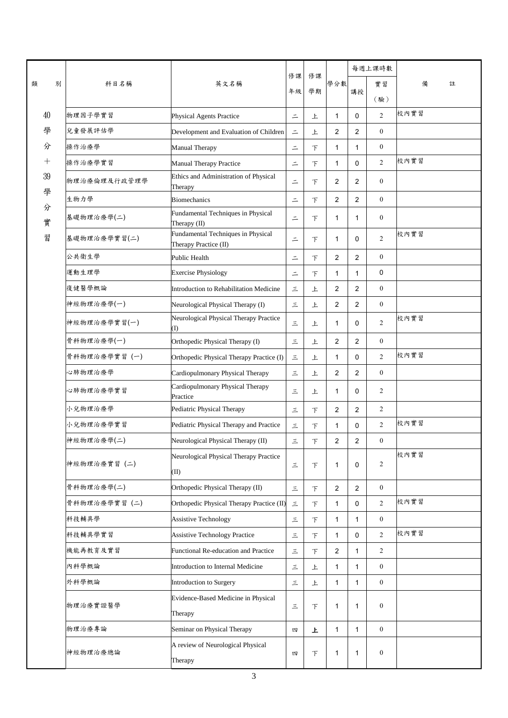|   |             |               |                                                             | 修課       | 修課     |                |                         | 每週上課時數           |        |
|---|-------------|---------------|-------------------------------------------------------------|----------|--------|----------------|-------------------------|------------------|--------|
| 類 | 別           | 科目名稱          | 英文名稱                                                        | 年級       | 學期     | 學分數            |                         | 實習               | 備<br>註 |
|   |             |               |                                                             |          |        |                | 講授                      | (驗)              |        |
|   | 40          | 物理因子學實習       | Physical Agents Practice                                    | $\equiv$ | 上      | $\mathbf{1}$   | $\mathbf 0$             | 2                | 校內實習   |
|   | 學           | 兒童發展評估學       | Development and Evaluation of Children                      | $\equiv$ | 上      | $\overline{2}$ | $\overline{c}$          | $\mathbf{0}$     |        |
|   | 分           | 操作治療學         | Manual Therapy                                              | $\equiv$ | 下      | $\mathbf{1}$   | $\mathbf{1}$            | $\boldsymbol{0}$ |        |
|   | $^{+}$      | 操作治療學實習       | Manual Therapy Practice                                     | $\equiv$ | 下      | $\mathbf{1}$   | $\mathbf 0$             | $\overline{2}$   | 校內實習   |
|   | $39\,$<br>學 | 物理治療倫理及行政管理學  | Ethics and Administration of Physical<br>Therapy            | $\equiv$ | 下      | 2              | $\overline{2}$          | $\boldsymbol{0}$ |        |
|   |             | 生物力學          | <b>Biomechanics</b>                                         | $\equiv$ | $\top$ | $\overline{2}$ | $\overline{2}$          | $\mathbf{0}$     |        |
|   | 分<br>實      | 基礎物理治療學(二)    | Fundamental Techniques in Physical<br>Therapy (II)          | $\equiv$ | 下      | $\mathbf{1}$   | $\mathbf{1}$            | $\boldsymbol{0}$ |        |
|   | 習           | 基礎物理治療學實習(二)  | Fundamental Techniques in Physical<br>Therapy Practice (II) | $\equiv$ | 下      | $\mathbf{1}$   | $\mathbf 0$             | $\overline{2}$   | 校內實習   |
|   |             | 公共衛生學         | <b>Public Health</b>                                        | $\equiv$ | $\top$ | 2              | $\overline{2}$          | $\boldsymbol{0}$ |        |
|   |             | 運動生理學         | <b>Exercise Physiology</b>                                  | $\equiv$ | 下      | $\mathbf{1}$   | $\mathbf{1}$            | $\mathbf 0$      |        |
|   |             | 復健醫學概論        | Introduction to Rehabilitation Medicine                     | 三        | 上      | $\overline{2}$ | $\overline{2}$          | $\boldsymbol{0}$ |        |
|   |             | 神經物理治療學(一)    | Neurological Physical Therapy (I)                           | $\leq$   | 上      | $\overline{2}$ | $\overline{c}$          | $\boldsymbol{0}$ |        |
|   |             | 神經物理治療學實習(一)  | Neurological Physical Therapy Practice<br>(I)               | 三        | 上      | $\mathbf{1}$   | $\mathbf 0$             | $\overline{2}$   | 校內實習   |
|   |             | 骨科物理治療學(一)    | Orthopedic Physical Therapy (I)                             | $\equiv$ | 上      | 2              | $\overline{c}$          | $\boldsymbol{0}$ |        |
|   |             | 骨科物理治療學實習 (一) | Orthopedic Physical Therapy Practice (I)                    | $\equiv$ | 上      | $\mathbf{1}$   | $\mathbf 0$             | 2                | 校內實習   |
|   |             | 心肺物理治療學       | Cardiopulmonary Physical Therapy                            | 三        | 上      | $\overline{2}$ | $\overline{2}$          | $\boldsymbol{0}$ |        |
|   |             | 心肺物理治療學實習     | Cardiopulmonary Physical Therapy<br>Practice                | 三        | 上      | $\mathbf{1}$   | $\mathbf 0$             | $\overline{c}$   |        |
|   |             | 小兒物理治療學       | Pediatric Physical Therapy                                  | 三        | $\top$ | 2              | $\overline{2}$          | $\overline{2}$   |        |
|   |             | 小兒物理治療學實習     | Pediatric Physical Therapy and Practice                     | 三        | $\top$ | $\mathbf{1}$   | 0                       | $\overline{2}$   | 校內實習   |
|   |             | 神經物理治療學(二)    | Neurological Physical Therapy (II)                          | $\leq$   | F      | $\overline{2}$ | $\overline{\mathbf{c}}$ | $\boldsymbol{0}$ |        |
|   |             | 神經物理治療實習 (二)  | Neurological Physical Therapy Practice<br>(II)              | $\equiv$ | 下      | $\mathbf{1}$   | 0                       | $\overline{2}$   | 校內實習   |
|   |             | 骨科物理治療學(二)    | Orthopedic Physical Therapy (II)                            | $\equiv$ | $\top$ | $\overline{2}$ | $\overline{2}$          | $\boldsymbol{0}$ |        |
|   |             | 骨科物理治療學實習 (二) | Orthopedic Physical Therapy Practice (II)                   | $\leq$   | $\top$ | $\mathbf{1}$   | 0                       | $\overline{2}$   | 校內實習   |
|   |             | 科技輔具學         | <b>Assistive Technology</b>                                 | $\equiv$ | 下      | $\mathbf{1}$   | $\mathbf{1}$            | $\boldsymbol{0}$ |        |
|   |             | 科技輔具學實習       | <b>Assistive Technology Practice</b>                        | $\leq$   | $\top$ | $\mathbf{1}$   | 0                       | $\overline{2}$   | 校內實習   |
|   |             | 機能再教育及實習      | Functional Re-education and Practice                        | $\equiv$ | 下      | 2              | $\mathbf{1}$            | $\overline{c}$   |        |
|   |             | 內科學概論         | Introduction to Internal Medicine                           | $\equiv$ | 上      | $\mathbf{1}$   | $\mathbf{1}$            | $\mathbf{0}$     |        |
|   |             | 外科學概論         | Introduction to Surgery                                     | $\equiv$ | 上      | $\mathbf{1}$   | $\mathbf{1}$            | $\mathbf{0}$     |        |
|   |             | 物理治療實證醫學      | Evidence-Based Medicine in Physical<br>Therapy              | $\equiv$ | $\top$ | $\mathbf{1}$   | 1                       | $\boldsymbol{0}$ |        |
|   |             | 物理治療專論        | Seminar on Physical Therapy                                 | 四        | 上      | $\mathbf{1}$   | $\mathbf{1}$            | $\boldsymbol{0}$ |        |
|   |             | 神經物理治療總論      | A review of Neurological Physical<br>Therapy                | 四        | 下      | 1              | 1                       | $\boldsymbol{0}$ |        |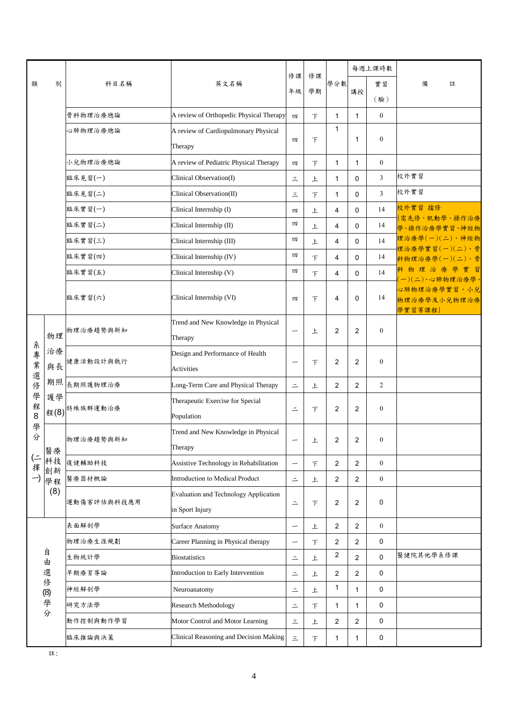|        |                      | 科目名稱          | 英文名稱                                         | 修課                       | 修課 | 學分數                     | 每週上課時數         |                  |                                  |
|--------|----------------------|---------------|----------------------------------------------|--------------------------|----|-------------------------|----------------|------------------|----------------------------------|
| 類      | 別                    |               |                                              |                          |    |                         |                | 實習               | 備<br>註                           |
|        |                      |               |                                              | 年級                       | 學期 |                         | 講授             | (驗)              |                                  |
|        |                      | 骨科物理治療總論      | A review of Orthopedic Physical Therapy      | 四                        | 下  | $\mathbf{1}$            | $\mathbf{1}$   | $\boldsymbol{0}$ |                                  |
|        |                      | 心肺物理治療總論      | A review of Cardiopulmonary Physical         |                          |    | 1                       |                |                  |                                  |
|        |                      |               | Therapy                                      | 四                        | F  |                         | 1              | $\boldsymbol{0}$ |                                  |
|        |                      | 小兒物理治療總論      | A review of Pediatric Physical Therapy       | 四                        | F  | 1                       | $\mathbf{1}$   | $\boldsymbol{0}$ |                                  |
|        |                      | 臨床見習(一)       | Clinical Observation(I)                      | 三                        | 上  | $\mathbf{1}$            | 0              | 3                | 校外實習                             |
|        |                      | 臨床見習(二)       | Clinical Observation(II)                     | 三                        | F  | $\mathbf{1}$            | 0              | 3                | 校外實習                             |
|        |                      | 臨床實習(一)       | Clinical Internship (I)                      | 四                        | 上  | 4                       | 0              | 14               | 校外實習 擋修                          |
|        |                      | 臨床實習(二)       | Clinical Internship (II)                     | 四                        | 上  | 4                       | 0              | 14               | 需先修, 肌動學、操作治療<br>學、操作治療學實習、神經物   |
|        |                      | 臨床實習(三)       | Clinical Internship (III)                    | 四                        | 上  | 4                       | 0              | 14               | 理治療學(一)(二)、神經物<br>理治療學實習(一)(二)、骨 |
|        |                      | 臨床實習(四)       | Clinical Internship (IV)                     | 四                        | 下  | 4                       | 0              | 14               | 科物理治療學(一)(二)、骨                   |
|        |                      | 臨床實習(五)       | Clinical Internship (V)                      | 四                        | 下  | 4                       | 0              | 14               | 科物理治療學實<br>- 習<br>一)(二)、心肺物理治療學  |
|        |                      | 臨床實習(六)       | Clinical Internship (VI)                     |                          |    | 4                       | $\mathbf 0$    | 14               | 心肺物理治療學實習、小兒                     |
|        |                      |               |                                              | 四                        | 下  |                         |                |                  | 物理治療學及小兒物理治療<br>學實習等課程)          |
|        | 物理                   | 物理治療趨勢與新知     | Trend and New Knowledge in Physical          | -                        |    | 2                       | 2              | $\boldsymbol{0}$ |                                  |
|        |                      |               | Therapy                                      |                          | 上  |                         |                |                  |                                  |
| 系專業選   | 治療<br>與長<br>期照<br>護學 | 健康活動設計與執行     | Design and Performance of Health             | -                        | F  | 2                       | $\overline{2}$ | $\boldsymbol{0}$ |                                  |
|        |                      |               | <b>Activities</b>                            |                          |    |                         |                |                  |                                  |
| 俢      |                      | 長期照護物理治療      | Long-Term Care and Physical Therapy          | $\equiv$                 | 上  | 2                       | $\overline{2}$ | $\overline{2}$   |                                  |
| 學<br>程 |                      | 程(8) 特殊族群運動治療 | Therapeutic Exercise for Special             | $\equiv$                 |    |                         | 2              | $\boldsymbol{0}$ |                                  |
| 8      |                      |               | Population                                   |                          | F  | 2                       |                |                  |                                  |
| 學<br>分 | 醫療                   | 物理治療趨勢與新知     | Trend and New Knowledge in Physical          | —                        | F  | 2                       | $\overline{2}$ | $\boldsymbol{0}$ |                                  |
|        |                      |               | Therapy                                      |                          |    |                         |                |                  |                                  |
| (二擇一)  | 科技                   | 復健輔助科技        | Assistive Technology in Rehabilitation       | -                        | 下  | 2                       | $\overline{c}$ | $\mathbf{0}$     |                                  |
|        | 創新<br>學程             | 醫療器材概論        | Introduction to Medical Product              | $\equiv$                 | 上  | 2                       | 2              | $\boldsymbol{0}$ |                                  |
|        | (8)                  | 運動傷害評估與科技應用   | <b>Evaluation and Technology Application</b> |                          |    |                         |                | 0                |                                  |
|        |                      |               | in Sport Injury                              | $\equiv$                 | 下  | 2                       | 2              |                  |                                  |
|        |                      | 表面解剖學         | <b>Surface Anatomy</b>                       | $\overline{\phantom{0}}$ | 上  | 2                       | $\overline{2}$ | $\boldsymbol{0}$ |                                  |
|        |                      | 物理治療生涯規劃      | Career Planning in Physical therapy          | -                        | 下  | 2                       | $\overline{2}$ | 0                |                                  |
|        | 自<br>由               | 生物統計學         | <b>Biostatistics</b>                         | $\equiv$                 | 上  | 2                       | $\overline{2}$ | 0                | 醫健院其他學系修課                        |
|        | 選                    | 早期療育導論        | Introduction to Early Intervention           | $\equiv$                 | 上  | $\overline{2}$          | $\overline{2}$ | 0                |                                  |
|        | 俢                    | 神經解剖學         | Neuroanatomy                                 | $\equiv$                 | 上  | 1                       | $\mathbf{1}$   | 0                |                                  |
|        | (8) 學分               | 研究方法學         | Research Methodology                         | $\equiv$                 | 下  | $\mathbf{1}$            | $\mathbf{1}$   | 0                |                                  |
|        |                      | 動作控制與動作學習     | Motor Control and Motor Learning             | 三                        | 上  | $\overline{\mathbf{c}}$ | $\overline{2}$ | 0                |                                  |
|        |                      | 臨床推論與決策       | Clinical Reasoning and Decision Making       | $\equiv$                 | 下  | $\mathbf{1}$            | $\mathbf{1}$   | 0                |                                  |

註: